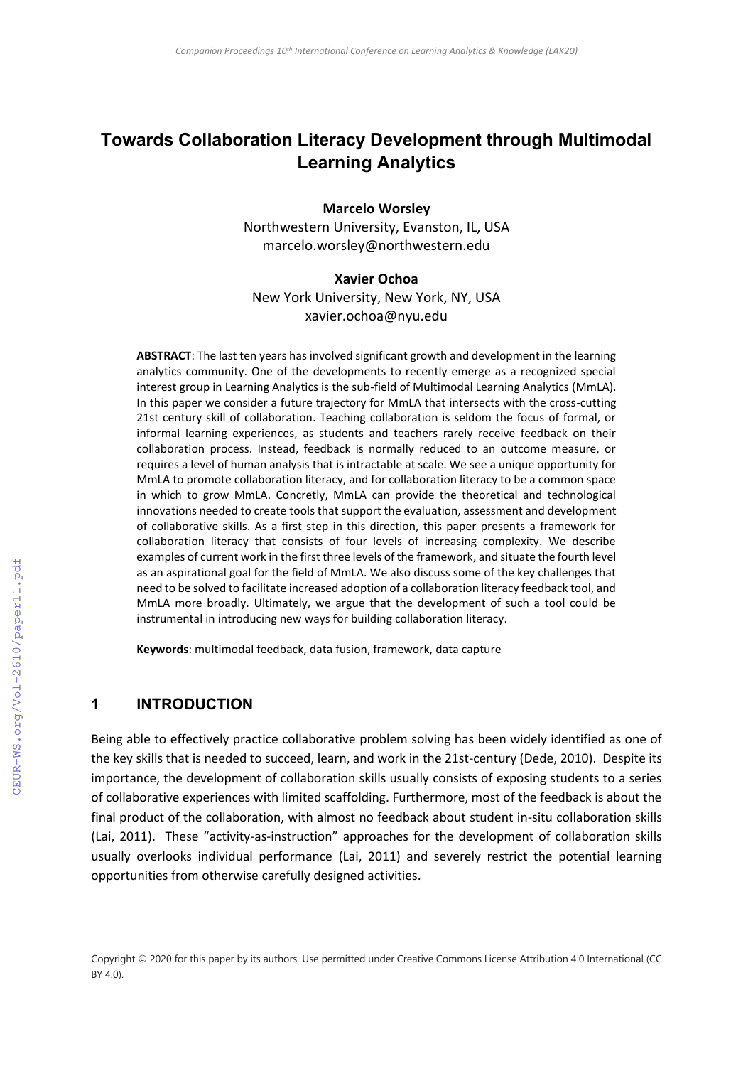# **Towards Collaboration Literacy Development through Multimodal Learning Analytics**

**Marcelo Worsley**

Northwestern University, Evanston, IL, USA marcelo.worsley@northwestern.edu

#### **Xavier Ochoa**

New York University, New York, NY, USA xavier.ochoa@nyu.edu

**ABSTRACT**: The last ten years has involved significant growth and development in the learning analytics community. One of the developments to recently emerge as a recognized special interest group in Learning Analytics is the sub-field of Multimodal Learning Analytics (MmLA). In this paper we consider a future trajectory for MmLA that intersects with the cross-cutting 21st century skill of collaboration. Teaching collaboration is seldom the focus of formal, or informal learning experiences, as students and teachers rarely receive feedback on their collaboration process. Instead, feedback is normally reduced to an outcome measure, or requires a level of human analysis that is intractable at scale. We see a unique opportunity for MmLA to promote collaboration literacy, and for collaboration literacy to be a common space in which to grow MmLA. Concretly, MmLA can provide the theoretical and technological innovations needed to create tools that support the evaluation, assessment and development of collaborative skills. As a first step in this direction, this paper presents a framework for collaboration literacy that consists of four levels of increasing complexity. We describe examples of current work in the first three levels of the framework, and situate the fourth level as an aspirational goal for the field of MmLA. We also discuss some of the key challenges that need to be solved to facilitate increased adoption of a collaboration literacy feedback tool, and MmLA more broadly. Ultimately, we argue that the development of such a tool could be instrumental in introducing new ways for building collaboration literacy.

**Keywords**: multimodal feedback, data fusion, framework, data capture

#### **1 INTRODUCTION**

Being able to effectively practice collaborative problem solving has been widely identified as one of the key skills that is needed to succeed, learn, and work in the 21st-century [\(Dede, 2010\)](#page--1-0). Despite its importance, the development of collaboration skills usually consists of exposing students to a series of collaborative experiences with limited scaffolding. Furthermore, most of the feedback is about the final product of the collaboration, with almost no feedback about student in-situ collaboration skills [\(Lai, 2011\)](#page--1-1). These "activity-as-instruction" approaches for the development of collaboration skills usually overlooks individual performance [\(Lai, 2011\)](#page--1-1) and severely restrict the potential learning opportunities from otherwise carefully designed activities.

Copyright © 2020 for this paper by its authors. Use permitted under Creative Commons License Attribution 4.0 International (CC BY 4.0).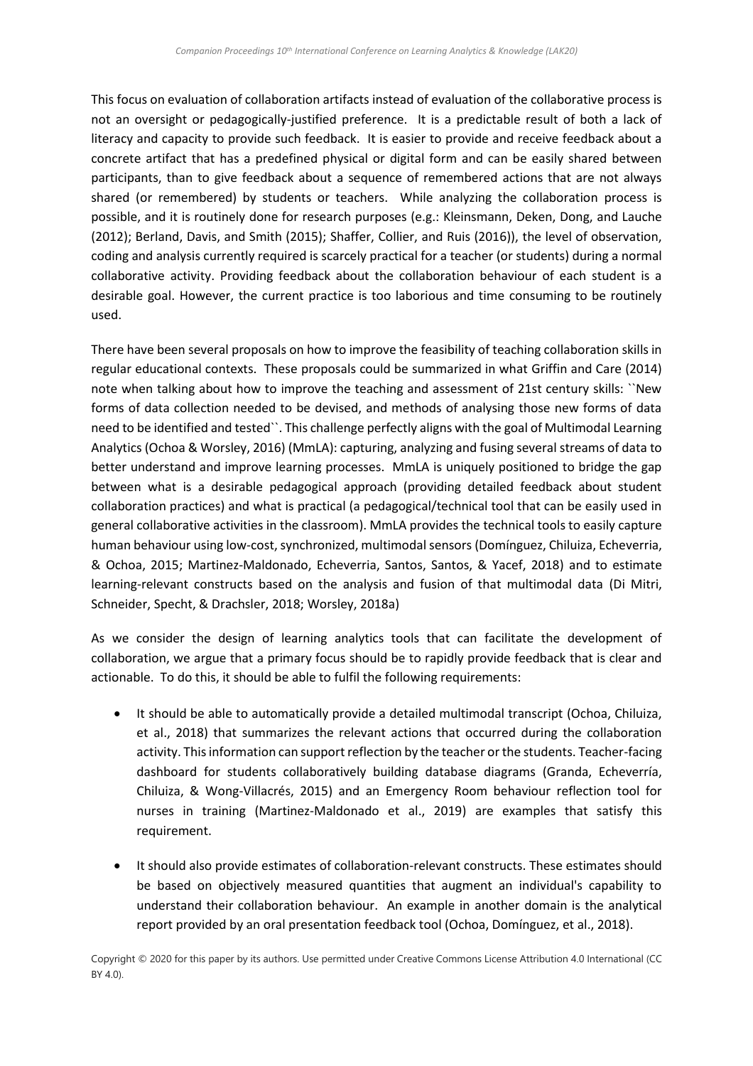This focus on evaluation of collaboration artifacts instead of evaluation of the collaborative process is not an oversight or pedagogically-justified preference. It is a predictable result of both a lack of literacy and capacity to provide such feedback. It is easier to provide and receive feedback about a concrete artifact that has a predefined physical or digital form and can be easily shared between participants, than to give feedback about a sequence of remembered actions that are not always shared (or remembered) by students or teachers. While analyzing the collaboration process is possible, and it is routinely done for research purposes (e.g.: [Kleinsmann, Deken, Dong, and Lauche](#page-9-0)  (2012); [Berland, Davis, and Smith \(2015\);](#page-9-1) [Shaffer, Collier, and Ruis \(2016\)\)](#page-10-0), the level of observation, coding and analysis currently required is scarcely practical for a teacher (or students) during a normal collaborative activity. Providing feedback about the collaboration behaviour of each student is a desirable goal. However, the current practice is too laborious and time consuming to be routinely used.

There have been several proposals on how to improve the feasibility of teaching collaboration skills in regular educational contexts. These proposals could be summarized in what [Griffin and Care \(2014\)](#page-9-2) note when talking about how to improve the teaching and assessment of 21st century skills: ``New forms of data collection needed to be devised, and methods of analysing those new forms of data need to be identified and tested``. This challenge perfectly aligns with the goal of Multimodal Learning Analytics [\(Ochoa & Worsley, 2016\)](#page-10-1) (MmLA): capturing, analyzing and fusing several streams of data to better understand and improve learning processes. MmLA is uniquely positioned to bridge the gap between what is a desirable pedagogical approach (providing detailed feedback about student collaboration practices) and what is practical (a pedagogical/technical tool that can be easily used in general collaborative activities in the classroom). MmLA provides the technical tools to easily capture human behaviour using low-cost, synchronized, multimodal sensors [\(Domínguez, Chiluiza, Echeverria,](#page-9-3)  [& Ochoa, 2015;](#page-9-3) [Martinez-Maldonado, Echeverria, Santos, Santos, & Yacef, 2018\)](#page-9-4) and to estimate learning-relevant constructs based on the analysis and fusion of that multimodal data [\(Di Mitri,](#page-9-5)  [Schneider, Specht, & Drachsler, 2018;](#page-9-5) [Worsley, 2018a\)](#page-11-0)

As we consider the design of learning analytics tools that can facilitate the development of collaboration, we argue that a primary focus should be to rapidly provide feedback that is clear and actionable. To do this, it should be able to fulfil the following requirements:

- It should be able to automatically provide a detailed multimodal transcript [\(Ochoa, Chiluiza,](#page-10-2)  [et al., 2018\)](#page-10-2) that summarizes the relevant actions that occurred during the collaboration activity. This information can support reflection by the teacher or the students. Teacher-facing dashboard for students collaboratively building database diagrams [\(Granda, Echeverría,](#page-9-6)  [Chiluiza, & Wong-Villacrés, 2015\)](#page-9-6) and an Emergency Room behaviour reflection tool for nurses in training [\(Martinez-Maldonado et al., 2019\)](#page-9-7) are examples that satisfy this requirement.
- It should also provide estimates of collaboration-relevant constructs. These estimates should be based on objectively measured quantities that augment an individual's capability to understand their collaboration behaviour. An example in another domain is the analytical report provided by an oral presentation feedback tool [\(Ochoa, Domínguez, et al., 2018\)](#page-10-3).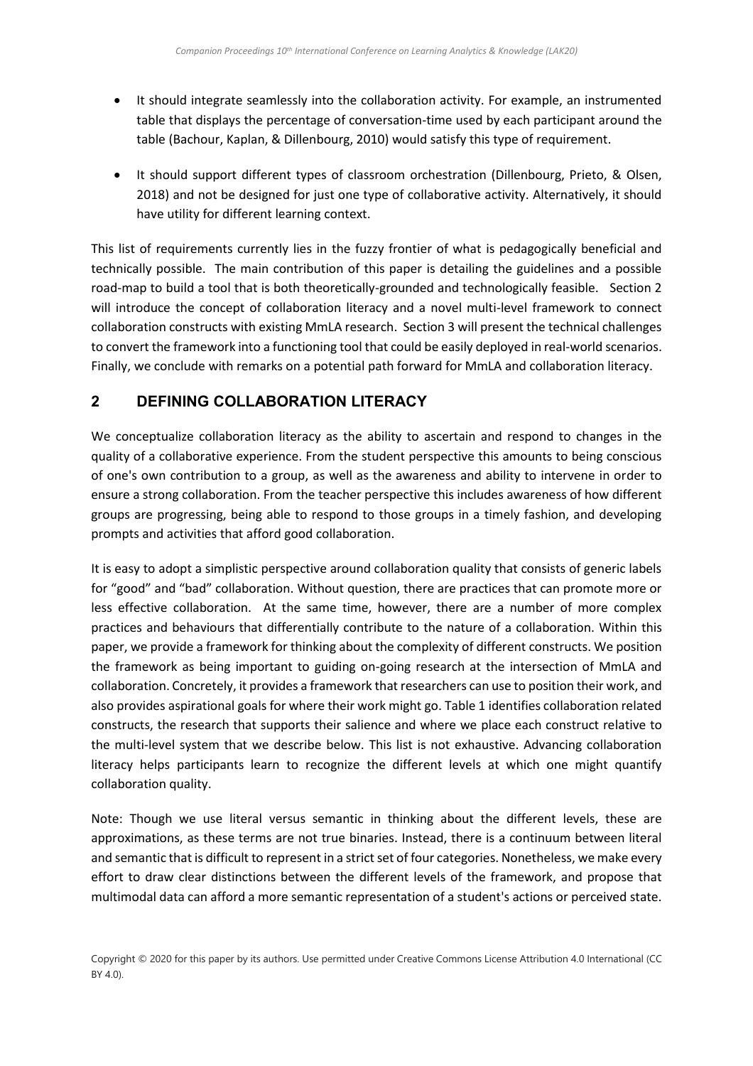- It should integrate seamlessly into the collaboration activity. For example, an instrumented table that displays the percentage of conversation-time used by each participant around the table [\(Bachour, Kaplan, & Dillenbourg, 2010\)](#page-8-0) would satisfy this type of requirement.
- It should support different types of classroom orchestration [\(Dillenbourg, Prieto, & Olsen,](#page-9-8)  [2018\)](#page-9-8) and not be designed for just one type of collaborative activity. Alternatively, it should have utility for different learning context.

This list of requirements currently lies in the fuzzy frontier of what is pedagogically beneficial and technically possible. The main contribution of this paper is detailing the guidelines and a possible road-map to build a tool that is both theoretically-grounded and technologically feasible. Section 2 will introduce the concept of collaboration literacy and a novel multi-level framework to connect collaboration constructs with existing MmLA research. Section 3 will present the technical challenges to convert the framework into a functioning tool that could be easily deployed in real-world scenarios. Finally, we conclude with remarks on a potential path forward for MmLA and collaboration literacy.

## **2 DEFINING COLLABORATION LITERACY**

We conceptualize collaboration literacy as the ability to ascertain and respond to changes in the quality of a collaborative experience. From the student perspective this amounts to being conscious of one's own contribution to a group, as well as the awareness and ability to intervene in order to ensure a strong collaboration. From the teacher perspective this includes awareness of how different groups are progressing, being able to respond to those groups in a timely fashion, and developing prompts and activities that afford good collaboration.

It is easy to adopt a simplistic perspective around collaboration quality that consists of generic labels for "good" and "bad" collaboration. Without question, there are practices that can promote more or less effective collaboration. At the same time, however, there are a number of more complex practices and behaviours that differentially contribute to the nature of a collaboration. Within this paper, we provide a framework for thinking about the complexity of different constructs. We position the framework as being important to guiding on-going research at the intersection of MmLA and collaboration. Concretely, it provides a framework that researchers can use to position their work, and also provides aspirational goals for where their work might go. Table 1 identifies collaboration related constructs, the research that supports their salience and where we place each construct relative to the multi-level system that we describe below. This list is not exhaustive. Advancing collaboration literacy helps participants learn to recognize the different levels at which one might quantify collaboration quality.

Note: Though we use literal versus semantic in thinking about the different levels, these are approximations, as these terms are not true binaries. Instead, there is a continuum between literal and semantic that is difficult to represent in a strict set of four categories. Nonetheless, we make every effort to draw clear distinctions between the different levels of the framework, and propose that multimodal data can afford a more semantic representation of a student's actions or perceived state.

Copyright © 2020 for this paper by its authors. Use permitted under Creative Commons License Attribution 4.0 International (CC BY 4.0).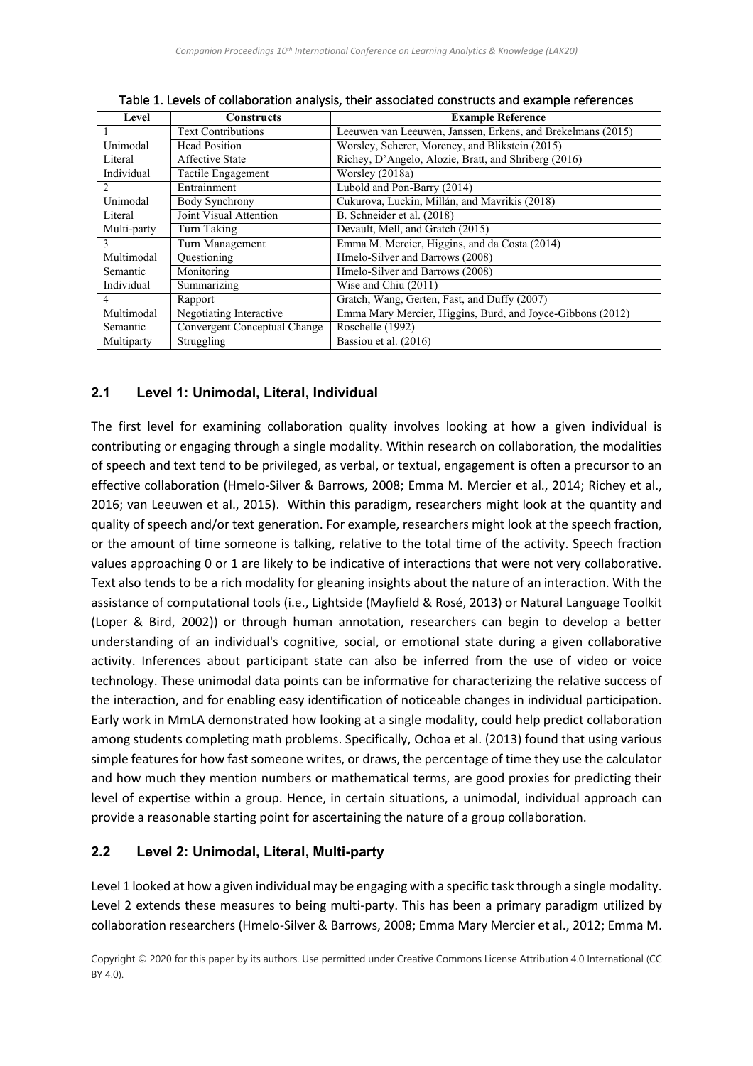| Level          | <b>Constructs</b>            | <b>Example Reference</b>                                    |
|----------------|------------------------------|-------------------------------------------------------------|
|                | <b>Text Contributions</b>    | Leeuwen van Leeuwen, Janssen, Erkens, and Brekelmans (2015) |
| Unimodal       | <b>Head Position</b>         | Worsley, Scherer, Morency, and Blikstein (2015)             |
| Literal        | <b>Affective State</b>       | Richey, D'Angelo, Alozie, Bratt, and Shriberg (2016)        |
| Individual     | Tactile Engagement           | Worsley (2018a)                                             |
| $\mathfrak{D}$ | Entrainment                  | Lubold and Pon-Barry (2014)                                 |
| Unimodal       | Body Synchrony               | Cukurova, Luckin, Millán, and Mavrikis (2018)               |
| Literal        | Joint Visual Attention       | B. Schneider et al. (2018)                                  |
| Multi-party    | Turn Taking                  | Devault, Mell, and Gratch (2015)                            |
| 3              | Turn Management              | Emma M. Mercier, Higgins, and da Costa (2014)               |
| Multimodal     | Ouestioning                  | Hmelo-Silver and Barrows (2008)                             |
| Semantic       | Monitoring                   | Hmelo-Silver and Barrows (2008)                             |
| Individual     | Summarizing                  | Wise and Chiu (2011)                                        |
| 4              | Rapport                      | Gratch, Wang, Gerten, Fast, and Duffy (2007)                |
| Multimodal     | Negotiating Interactive      | Emma Mary Mercier, Higgins, Burd, and Joyce-Gibbons (2012)  |
| Semantic       | Convergent Conceptual Change | Roschelle (1992)                                            |
| Multiparty     | Struggling                   | Bassiou et al. (2016)                                       |

Table 1. Levels of collaboration analysis, their associated constructs and example references

#### **2.1 Level 1: Unimodal, Literal, Individual**

The first level for examining collaboration quality involves looking at how a given individual is contributing or engaging through a single modality. Within research on collaboration, the modalities of speech and text tend to be privileged, as verbal, or textual, engagement is often a precursor to an effective collaboration [\(Hmelo-Silver & Barrows, 2008;](#page-9-12) [Emma M. Mercier et al., 2014;](#page-10-7) [Richey et al.,](#page-10-5)  [2016;](#page-10-5) [van Leeuwen et al., 2015\)](#page-10-4). Within this paradigm, researchers might look at the quantity and quality of speech and/or text generation. For example, researchers might look at the speech fraction, or the amount of time someone is talking, relative to the total time of the activity. Speech fraction values approaching 0 or 1 are likely to be indicative of interactions that were not very collaborative. Text also tends to be a rich modality for gleaning insights about the nature of an interaction. With the assistance of computational tools (i.e., Lightside [\(Mayfield & Rosé, 2013\)](#page-10-11) or Natural Language Toolkit [\(Loper & Bird, 2002\)](#page-9-15)) or through human annotation, researchers can begin to develop a better understanding of an individual's cognitive, social, or emotional state during a given collaborative activity. Inferences about participant state can also be inferred from the use of video or voice technology. These unimodal data points can be informative for characterizing the relative success of the interaction, and for enabling easy identification of noticeable changes in individual participation. Early work in MmLA demonstrated how looking at a single modality, could help predict collaboration among students completing math problems. Specifically, [Ochoa et al. \(2013\)](#page-10-12) found that using various simple features for how fast someone writes, or draws, the percentage of time they use the calculator and how much they mention numbers or mathematical terms, are good proxies for predicting their level of expertise within a group. Hence, in certain situations, a unimodal, individual approach can provide a reasonable starting point for ascertaining the nature of a group collaboration.

#### **2.2 Level 2: Unimodal, Literal, Multi-party**

Level 1 looked at how a given individual may be engaging with a specific task through a single modality. Level 2 extends these measures to being multi-party. This has been a primary paradigm utilized by collaboration researchers [\(Hmelo-Silver & Barrows, 2008;](#page-9-12) [Emma Mary Mercier et al., 2012;](#page-10-9) [Emma M.](#page-10-7)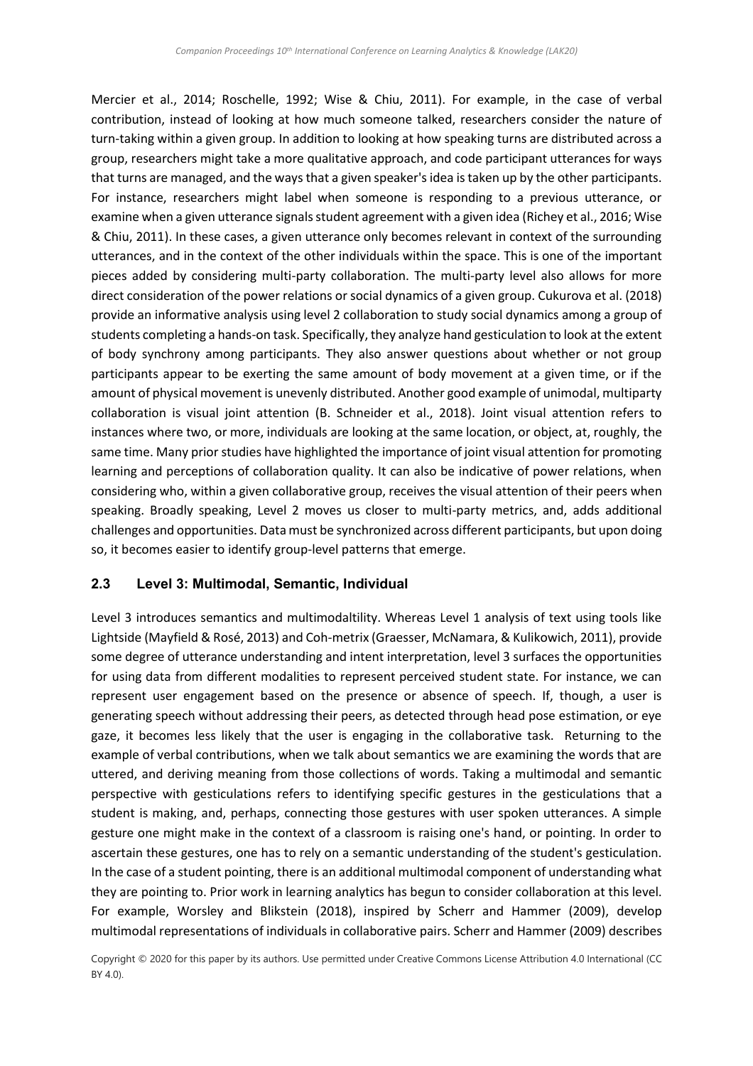[Mercier et al., 2014;](#page-10-7) [Roschelle, 1992;](#page-10-10) [Wise & Chiu, 2011\)](#page-10-8). For example, in the case of verbal contribution, instead of looking at how much someone talked, researchers consider the nature of turn-taking within a given group. In addition to looking at how speaking turns are distributed across a group, researchers might take a more qualitative approach, and code participant utterances for ways that turns are managed, and the ways that a given speaker's idea is taken up by the other participants. For instance, researchers might label when someone is responding to a previous utterance, or examine when a given utterance signals student agreement with a given idea [\(Richey et al., 2016;](#page-10-5) [Wise](#page-10-8)  [& Chiu, 2011\)](#page-10-8). In these cases, a given utterance only becomes relevant in context of the surrounding utterances, and in the context of the other individuals within the space. This is one of the important pieces added by considering multi-party collaboration. The multi-party level also allows for more direct consideration of the power relations or social dynamics of a given group. [Cukurova et al. \(2018\)](#page-9-10) provide an informative analysis using level 2 collaboration to study social dynamics among a group of students completing a hands-on task. Specifically, they analyze hand gesticulation to look at the extent of body synchrony among participants. They also answer questions about whether or not group participants appear to be exerting the same amount of body movement at a given time, or if the amount of physical movement is unevenly distributed. Another good example of unimodal, multiparty collaboration is visual joint attention [\(B. Schneider et al., 2018\)](#page-10-6). Joint visual attention refers to instances where two, or more, individuals are looking at the same location, or object, at, roughly, the same time. Many prior studies have highlighted the importance of joint visual attention for promoting learning and perceptions of collaboration quality. It can also be indicative of power relations, when considering who, within a given collaborative group, receives the visual attention of their peers when speaking. Broadly speaking, Level 2 moves us closer to multi-party metrics, and, adds additional challenges and opportunities. Data must be synchronized across different participants, but upon doing so, it becomes easier to identify group-level patterns that emerge.

#### **2.3 Level 3: Multimodal, Semantic, Individual**

Level 3 introduces semantics and multimodaltility. Whereas Level 1 analysis of text using tools like Lightside [\(Mayfield & Rosé, 2013\)](#page-10-11) and Coh-metrix [\(Graesser, McNamara, & Kulikowich,](#page-9-16) 2011), provide some degree of utterance understanding and intent interpretation, level 3 surfaces the opportunities for using data from different modalities to represent perceived student state. For instance, we can represent user engagement based on the presence or absence of speech. If, though, a user is generating speech without addressing their peers, as detected through head pose estimation, or eye gaze, it becomes less likely that the user is engaging in the collaborative task. Returning to the example of verbal contributions, when we talk about semantics we are examining the words that are uttered, and deriving meaning from those collections of words. Taking a multimodal and semantic perspective with gesticulations refers to identifying specific gestures in the gesticulations that a student is making, and, perhaps, connecting those gestures with user spoken utterances. A simple gesture one might make in the context of a classroom is raising one's hand, or pointing. In order to ascertain these gestures, one has to rely on a semantic understanding of the student's gesticulation. In the case of a student pointing, there is an additional multimodal component of understanding what they are pointing to. Prior work in learning analytics has begun to consider collaboration at this level. For example, [Worsley and Blikstein \(2018\),](#page-11-2) inspired by [Scherr and Hammer \(2009\),](#page-10-13) develop multimodal representations of individuals in collaborative pairs[. Scherr and Hammer \(2009\)](#page-10-13) describes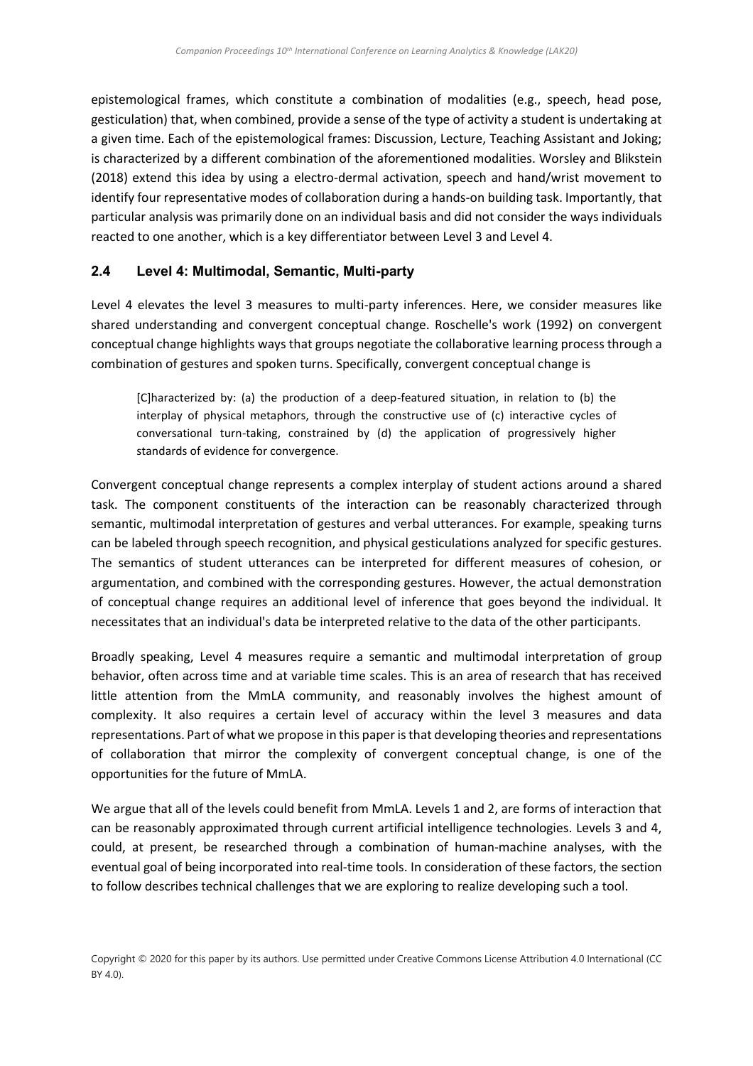epistemological frames, which constitute a combination of modalities (e.g., speech, head pose, gesticulation) that, when combined, provide a sense of the type of activity a student is undertaking at a given time. Each of the epistemological frames: Discussion, Lecture, Teaching Assistant and Joking; is characterized by a different combination of the aforementioned modalities. [Worsley and Blikstein](#page-11-2)  (2018) extend this idea by using a electro-dermal activation, speech and hand/wrist movement to identify four representative modes of collaboration during a hands-on building task. Importantly, that particular analysis was primarily done on an individual basis and did not consider the ways individuals reacted to one another, which is a key differentiator between Level 3 and Level 4.

#### **2.4 Level 4: Multimodal, Semantic, Multi-party**

Level 4 elevates the level 3 measures to multi-party inferences. Here, we consider measures like shared understanding and convergent conceptual change. Roschelle's work [\(1992\)](#page-10-10) on convergent conceptual change highlights ways that groups negotiate the collaborative learning process through a combination of gestures and spoken turns. Specifically, convergent conceptual change is

[C]haracterized by: (a) the production of a deep-featured situation, in relation to (b) the interplay of physical metaphors, through the constructive use of (c) interactive cycles of conversational turn-taking, constrained by (d) the application of progressively higher standards of evidence for convergence.

Convergent conceptual change represents a complex interplay of student actions around a shared task. The component constituents of the interaction can be reasonably characterized through semantic, multimodal interpretation of gestures and verbal utterances. For example, speaking turns can be labeled through speech recognition, and physical gesticulations analyzed for specific gestures. The semantics of student utterances can be interpreted for different measures of cohesion, or argumentation, and combined with the corresponding gestures. However, the actual demonstration of conceptual change requires an additional level of inference that goes beyond the individual. It necessitates that an individual's data be interpreted relative to the data of the other participants.

Broadly speaking, Level 4 measures require a semantic and multimodal interpretation of group behavior, often across time and at variable time scales. This is an area of research that has received little attention from the MmLA community, and reasonably involves the highest amount of complexity. It also requires a certain level of accuracy within the level 3 measures and data representations. Part of what we propose in this paper is that developing theories and representations of collaboration that mirror the complexity of convergent conceptual change, is one of the opportunities for the future of MmLA.

We argue that all of the levels could benefit from MmLA. Levels 1 and 2, are forms of interaction that can be reasonably approximated through current artificial intelligence technologies. Levels 3 and 4, could, at present, be researched through a combination of human-machine analyses, with the eventual goal of being incorporated into real-time tools. In consideration of these factors, the section to follow describes technical challenges that we are exploring to realize developing such a tool.

Copyright © 2020 for this paper by its authors. Use permitted under Creative Commons License Attribution 4.0 International (CC BY 4.0).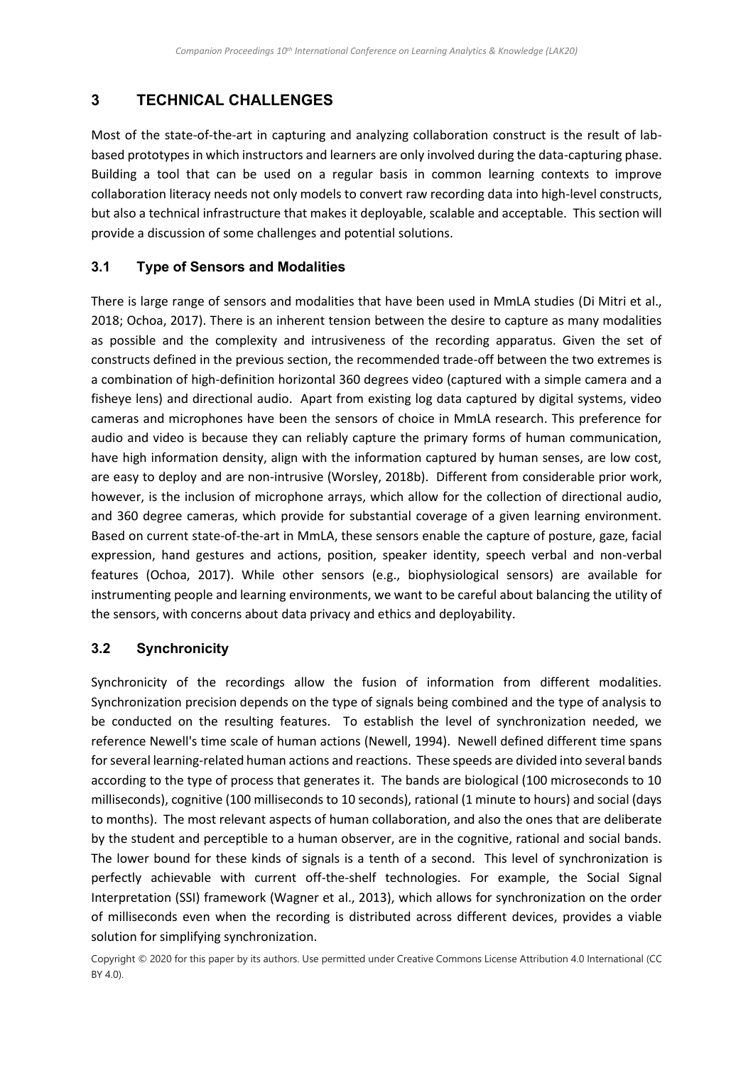## **3 TECHNICAL CHALLENGES**

Most of the state-of-the-art in capturing and analyzing collaboration construct is the result of labbased prototypes in which instructors and learners are only involved during the data-capturing phase. Building a tool that can be used on a regular basis in common learning contexts to improve collaboration literacy needs not only models to convert raw recording data into high-level constructs, but also a technical infrastructure that makes it deployable, scalable and acceptable. This section will provide a discussion of some challenges and potential solutions.

#### **3.1 Type of Sensors and Modalities**

There is large range of sensors and modalities that have been used in MmLA studies [\(Di Mitri et al.,](#page-9-5)  [2018;](#page-9-5) [Ochoa, 2017\)](#page-10-14). There is an inherent tension between the desire to capture as many modalities as possible and the complexity and intrusiveness of the recording apparatus. Given the set of constructs defined in the previous section, the recommended trade-off between the two extremes is a combination of high-definition horizontal 360 degrees video (captured with a simple camera and a fisheye lens) and directional audio. Apart from existing log data captured by digital systems, video cameras and microphones have been the sensors of choice in MmLA research. This preference for audio and video is because they can reliably capture the primary forms of human communication, have high information density, align with the information captured by human senses, are low cost, are easy to deploy and are non-intrusive [\(Worsley, 2018b\)](#page-11-3). Different from considerable prior work, however, is the inclusion of microphone arrays, which allow for the collection of directional audio, and 360 degree cameras, which provide for substantial coverage of a given learning environment. Based on current state-of-the-art in MmLA, these sensors enable the capture of posture, gaze, facial expression, hand gestures and actions, position, speaker identity, speech verbal and non-verbal features [\(Ochoa, 2017\)](#page-10-14). While other sensors (e.g., biophysiological sensors) are available for instrumenting people and learning environments, we want to be careful about balancing the utility of the sensors, with concerns about data privacy and ethics and deployability.

### **3.2 Synchronicity**

Synchronicity of the recordings allow the fusion of information from different modalities. Synchronization precision depends on the type of signals being combined and the type of analysis to be conducted on the resulting features. To establish the level of synchronization needed, we reference Newell's time scale of human actions [\(Newell, 1994\)](#page-10-15). Newell defined different time spans for several learning-related human actions and reactions. These speeds are divided into several bands according to the type of process that generates it. The bands are biological (100 microseconds to 10 milliseconds), cognitive (100 milliseconds to 10 seconds), rational (1 minute to hours) and social (days to months). The most relevant aspects of human collaboration, and also the ones that are deliberate by the student and perceptible to a human observer, are in the cognitive, rational and social bands. The lower bound for these kinds of signals is a tenth of a second. This level of synchronization is perfectly achievable with current off-the-shelf technologies. For example, the Social Signal Interpretation (SSI) framework [\(Wagner et al., 2013\)](#page-10-16), which allows for synchronization on the order of milliseconds even when the recording is distributed across different devices, provides a viable solution for simplifying synchronization.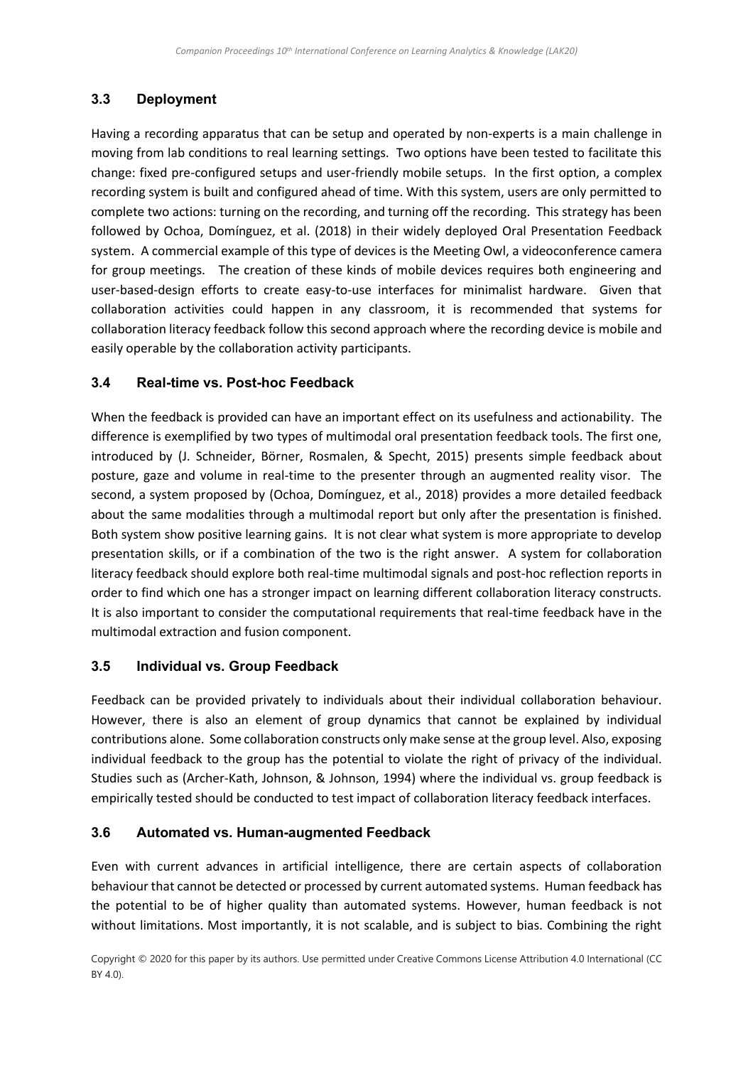### **3.3 Deployment**

Having a recording apparatus that can be setup and operated by non-experts is a main challenge in moving from lab conditions to real learning settings. Two options have been tested to facilitate this change: fixed pre-configured setups and user-friendly mobile setups. In the first option, a complex recording system is built and configured ahead of time. With this system, users are only permitted to complete two actions: turning on the recording, and turning off the recording. This strategy has been followed by [Ochoa, Domínguez, et al. \(2018\)](#page-10-3) in their widely deployed Oral Presentation Feedback system. A commercial example of this type of devices is the Meeting Owl, a videoconference camera for group meetings. The creation of these kinds of mobile devices requires both engineering and user-based-design efforts to create easy-to-use interfaces for minimalist hardware. Given that collaboration activities could happen in any classroom, it is recommended that systems for collaboration literacy feedback follow this second approach where the recording device is mobile and easily operable by the collaboration activity participants.

#### **3.4 Real-time vs. Post-hoc Feedback**

When the feedback is provided can have an important effect on its usefulness and actionability. The difference is exemplified by two types of multimodal oral presentation feedback tools. The first one, introduced by [\(J. Schneider, Börner, Rosmalen, & Specht, 2015\)](#page-10-17) presents simple feedback about posture, gaze and volume in real-time to the presenter through an augmented reality visor. The second, a system proposed by [\(Ochoa, Domínguez, et al., 2018\)](#page-10-3) provides a more detailed feedback about the same modalities through a multimodal report but only after the presentation is finished. Both system show positive learning gains. It is not clear what system is more appropriate to develop presentation skills, or if a combination of the two is the right answer. A system for collaboration literacy feedback should explore both real-time multimodal signals and post-hoc reflection reports in order to find which one has a stronger impact on learning different collaboration literacy constructs. It is also important to consider the computational requirements that real-time feedback have in the multimodal extraction and fusion component.

#### **3.5 Individual vs. Group Feedback**

Feedback can be provided privately to individuals about their individual collaboration behaviour. However, there is also an element of group dynamics that cannot be explained by individual contributions alone. Some collaboration constructs only make sense at the group level. Also, exposing individual feedback to the group has the potential to violate the right of privacy of the individual. Studies such as [\(Archer-Kath, Johnson, & Johnson, 1994\)](#page-8-1) where the individual vs. group feedback is empirically tested should be conducted to test impact of collaboration literacy feedback interfaces.

#### **3.6 Automated vs. Human-augmented Feedback**

Even with current advances in artificial intelligence, there are certain aspects of collaboration behaviour that cannot be detected or processed by current automated systems. Human feedback has the potential to be of higher quality than automated systems. However, human feedback is not without limitations. Most importantly, it is not scalable, and is subject to bias. Combining the right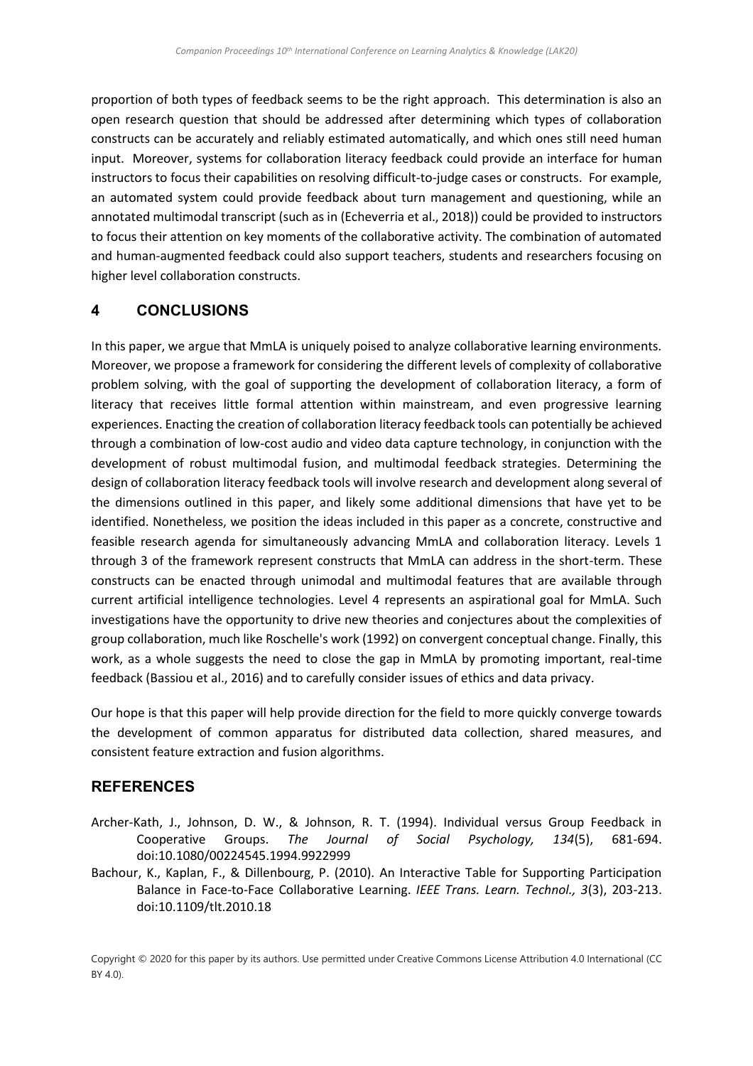proportion of both types of feedback seems to be the right approach. This determination is also an open research question that should be addressed after determining which types of collaboration constructs can be accurately and reliably estimated automatically, and which ones still need human input. Moreover, systems for collaboration literacy feedback could provide an interface for human instructors to focus their capabilities on resolving difficult-to-judge cases or constructs. For example, an automated system could provide feedback about turn management and questioning, while an annotated multimodal transcript (such as in (Echeverria [et al., 2018\)](#page-9-17)) could be provided to instructors to focus their attention on key moments of the collaborative activity. The combination of automated and human-augmented feedback could also support teachers, students and researchers focusing on higher level collaboration constructs.

### **4 CONCLUSIONS**

In this paper, we argue that MmLA is uniquely poised to analyze collaborative learning environments. Moreover, we propose a framework for considering the different levels of complexity of collaborative problem solving, with the goal of supporting the development of collaboration literacy, a form of literacy that receives little formal attention within mainstream, and even progressive learning experiences. Enacting the creation of collaboration literacy feedback tools can potentially be achieved through a combination of low-cost audio and video data capture technology, in conjunction with the development of robust multimodal fusion, and multimodal feedback strategies. Determining the design of collaboration literacy feedback tools will involve research and development along several of the dimensions outlined in this paper, and likely some additional dimensions that have yet to be identified. Nonetheless, we position the ideas included in this paper as a concrete, constructive and feasible research agenda for simultaneously advancing MmLA and collaboration literacy. Levels 1 through 3 of the framework represent constructs that MmLA can address in the short-term. These constructs can be enacted through unimodal and multimodal features that are available through current artificial intelligence technologies. Level 4 represents an aspirational goal for MmLA. Such investigations have the opportunity to drive new theories and conjectures about the complexities of group collaboration, much like Roschelle's work [\(1992\)](#page-10-10) on convergent conceptual change. Finally, this work, as a whole suggests the need to close the gap in MmLA by promoting important, real-time feedback [\(Bassiou et al., 2016\)](#page-9-14) and to carefully consider issues of ethics and data privacy.

Our hope is that this paper will help provide direction for the field to more quickly converge towards the development of common apparatus for distributed data collection, shared measures, and consistent feature extraction and fusion algorithms.

### **REFERENCES**

- <span id="page-8-1"></span>Archer-Kath, J., Johnson, D. W., & Johnson, R. T. (1994). Individual versus Group Feedback in Cooperative Groups. *The Journal of Social Psychology, 134*(5), 681-694. doi:10.1080/00224545.1994.9922999
- <span id="page-8-0"></span>Bachour, K., Kaplan, F., & Dillenbourg, P. (2010). An Interactive Table for Supporting Participation Balance in Face-to-Face Collaborative Learning. *IEEE Trans. Learn. Technol., 3*(3), 203-213. doi:10.1109/tlt.2010.18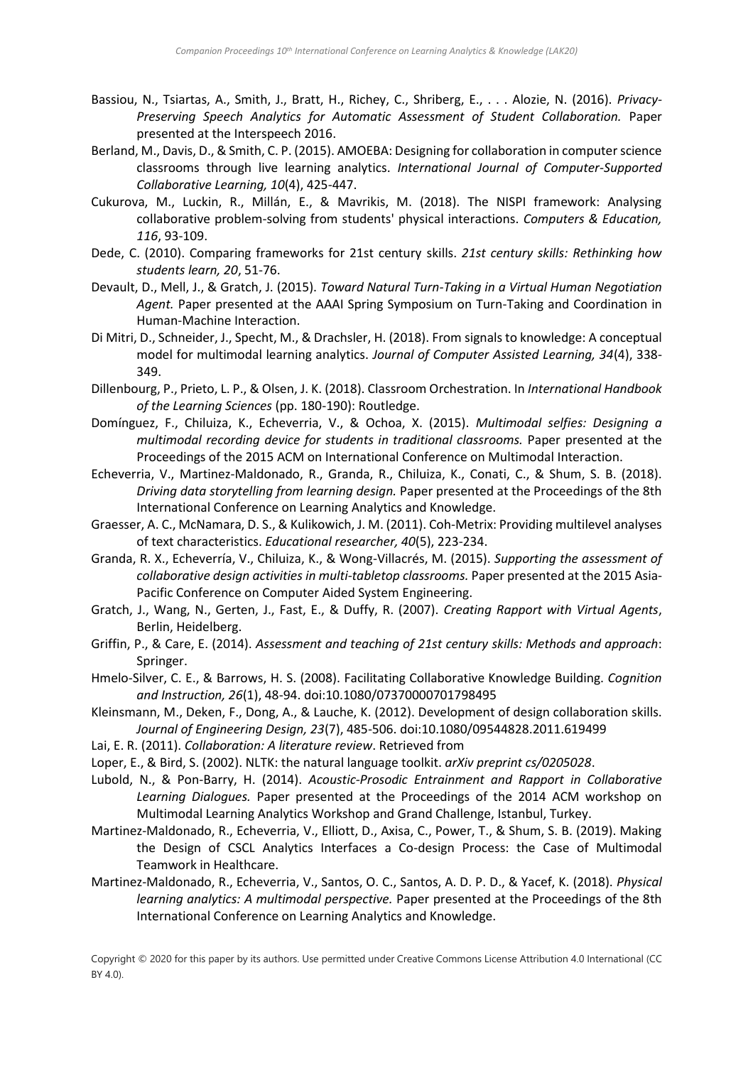- <span id="page-9-14"></span>Bassiou, N., Tsiartas, A., Smith, J., Bratt, H., Richey, C., Shriberg, E., . . . Alozie, N. (2016). *Privacy-Preserving Speech Analytics for Automatic Assessment of Student Collaboration.* Paper presented at the Interspeech 2016.
- <span id="page-9-1"></span>Berland, M., Davis, D., & Smith, C. P. (2015). AMOEBA: Designing for collaboration in computer science classrooms through live learning analytics. *International Journal of Computer-Supported Collaborative Learning, 10*(4), 425-447.
- <span id="page-9-10"></span>Cukurova, M., Luckin, R., Millán, E., & Mavrikis, M. (2018). The NISPI framework: Analysing collaborative problem-solving from students' physical interactions. *Computers & Education, 116*, 93-109.
- Dede, C. (2010). Comparing frameworks for 21st century skills. *21st century skills: Rethinking how students learn, 20*, 51-76.
- <span id="page-9-11"></span>Devault, D., Mell, J., & Gratch, J. (2015). *Toward Natural Turn-Taking in a Virtual Human Negotiation Agent.* Paper presented at the AAAI Spring Symposium on Turn-Taking and Coordination in Human-Machine Interaction.
- <span id="page-9-5"></span>Di Mitri, D., Schneider, J., Specht, M., & Drachsler, H. (2018). From signals to knowledge: A conceptual model for multimodal learning analytics. *Journal of Computer Assisted Learning, 34*(4), 338- 349.
- <span id="page-9-8"></span>Dillenbourg, P., Prieto, L. P., & Olsen, J. K. (2018). Classroom Orchestration. In *International Handbook of the Learning Sciences* (pp. 180-190): Routledge.
- <span id="page-9-3"></span>Domínguez, F., Chiluiza, K., Echeverria, V., & Ochoa, X. (2015). *Multimodal selfies: Designing a multimodal recording device for students in traditional classrooms.* Paper presented at the Proceedings of the 2015 ACM on International Conference on Multimodal Interaction.
- <span id="page-9-17"></span>Echeverria, V., Martinez-Maldonado, R., Granda, R., Chiluiza, K., Conati, C., & Shum, S. B. (2018). *Driving data storytelling from learning design.* Paper presented at the Proceedings of the 8th International Conference on Learning Analytics and Knowledge.
- <span id="page-9-16"></span>Graesser, A. C., McNamara, D. S., & Kulikowich, J. M. (2011). Coh-Metrix: Providing multilevel analyses of text characteristics. *Educational researcher, 40*(5), 223-234.
- <span id="page-9-6"></span>Granda, R. X., Echeverría, V., Chiluiza, K., & Wong-Villacrés, M. (2015). *Supporting the assessment of collaborative design activities in multi-tabletop classrooms.* Paper presented at the 2015 Asia-Pacific Conference on Computer Aided System Engineering.
- <span id="page-9-13"></span>Gratch, J., Wang, N., Gerten, J., Fast, E., & Duffy, R. (2007). *Creating Rapport with Virtual Agents*, Berlin, Heidelberg.
- <span id="page-9-2"></span>Griffin, P., & Care, E. (2014). *Assessment and teaching of 21st century skills: Methods and approach*: Springer.
- <span id="page-9-12"></span>Hmelo-Silver, C. E., & Barrows, H. S. (2008). Facilitating Collaborative Knowledge Building. *Cognition and Instruction, 26*(1), 48-94. doi:10.1080/07370000701798495
- <span id="page-9-0"></span>Kleinsmann, M., Deken, F., Dong, A., & Lauche, K. (2012). Development of design collaboration skills. *Journal of Engineering Design, 23*(7), 485-506. doi:10.1080/09544828.2011.619499
- Lai, E. R. (2011). *Collaboration: A literature review*. Retrieved from
- <span id="page-9-15"></span>Loper, E., & Bird, S. (2002). NLTK: the natural language toolkit. *arXiv preprint cs/0205028*.
- <span id="page-9-9"></span>Lubold, N., & Pon-Barry, H. (2014). *Acoustic-Prosodic Entrainment and Rapport in Collaborative Learning Dialogues.* Paper presented at the Proceedings of the 2014 ACM workshop on Multimodal Learning Analytics Workshop and Grand Challenge, Istanbul, Turkey.
- <span id="page-9-7"></span>Martinez-Maldonado, R., Echeverria, V., Elliott, D., Axisa, C., Power, T., & Shum, S. B. (2019). Making the Design of CSCL Analytics Interfaces a Co-design Process: the Case of Multimodal Teamwork in Healthcare.
- <span id="page-9-4"></span>Martinez-Maldonado, R., Echeverria, V., Santos, O. C., Santos, A. D. P. D., & Yacef, K. (2018). *Physical learning analytics: A multimodal perspective.* Paper presented at the Proceedings of the 8th International Conference on Learning Analytics and Knowledge.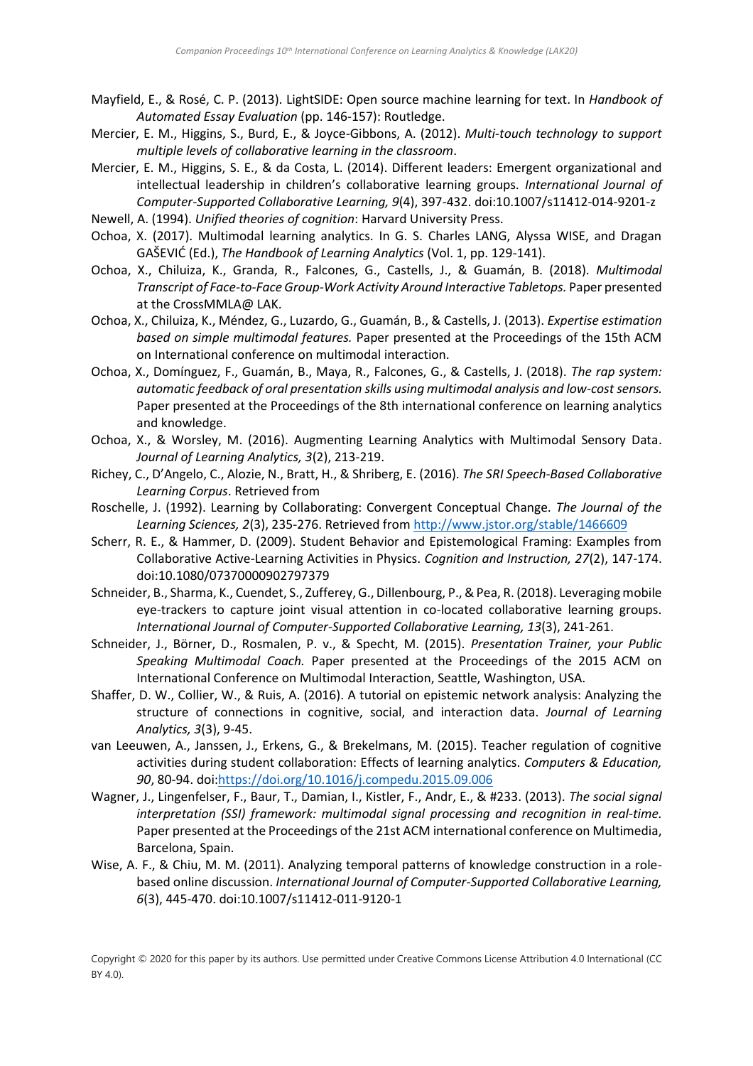- <span id="page-10-11"></span>Mayfield, E., & Rosé, C. P. (2013). LightSIDE: Open source machine learning for text. In *Handbook of Automated Essay Evaluation* (pp. 146-157): Routledge.
- <span id="page-10-9"></span>Mercier, E. M., Higgins, S., Burd, E., & Joyce-Gibbons, A. (2012). *Multi-touch technology to support multiple levels of collaborative learning in the classroom*.
- <span id="page-10-7"></span>Mercier, E. M., Higgins, S. E., & da Costa, L. (2014). Different leaders: Emergent organizational and intellectual leadership in children's collaborative learning groups. *International Journal of Computer-Supported Collaborative Learning, 9*(4), 397-432. doi:10.1007/s11412-014-9201-z
- <span id="page-10-15"></span>Newell, A. (1994). *Unified theories of cognition*: Harvard University Press.
- <span id="page-10-14"></span>Ochoa, X. (2017). Multimodal learning analytics. In G. S. Charles LANG, Alyssa WISE, and Dragan GAŠEVIĆ (Ed.), *The Handbook of Learning Analytics* (Vol. 1, pp. 129-141).
- <span id="page-10-2"></span>Ochoa, X., Chiluiza, K., Granda, R., Falcones, G., Castells, J., & Guamán, B. (2018). *Multimodal Transcript of Face-to-Face Group-Work Activity Around Interactive Tabletops.* Paper presented at the CrossMMLA@ LAK.
- <span id="page-10-12"></span>Ochoa, X., Chiluiza, K., Méndez, G., Luzardo, G., Guamán, B., & Castells, J. (2013). *Expertise estimation based on simple multimodal features.* Paper presented at the Proceedings of the 15th ACM on International conference on multimodal interaction.
- <span id="page-10-3"></span>Ochoa, X., Domínguez, F., Guamán, B., Maya, R., Falcones, G., & Castells, J. (2018). *The rap system: automatic feedback of oral presentation skills using multimodal analysis and low-cost sensors.* Paper presented at the Proceedings of the 8th international conference on learning analytics and knowledge.
- <span id="page-10-1"></span>Ochoa, X., & Worsley, M. (2016). Augmenting Learning Analytics with Multimodal Sensory Data. *Journal of Learning Analytics, 3*(2), 213-219.
- <span id="page-10-5"></span>Richey, C., D'Angelo, C., Alozie, N., Bratt, H., & Shriberg, E. (2016). *The SRI Speech-Based Collaborative Learning Corpus*. Retrieved from
- <span id="page-10-10"></span>Roschelle, J. (1992). Learning by Collaborating: Convergent Conceptual Change. *The Journal of the Learning Sciences, 2*(3), 235-276. Retrieved fro[m http://www.jstor.org/stable/1466609](http://www.jstor.org/stable/1466609)
- <span id="page-10-13"></span>Scherr, R. E., & Hammer, D. (2009). Student Behavior and Epistemological Framing: Examples from Collaborative Active-Learning Activities in Physics. *Cognition and Instruction, 27*(2), 147-174. doi:10.1080/07370000902797379
- <span id="page-10-6"></span>Schneider, B., Sharma, K., Cuendet, S., Zufferey, G., Dillenbourg, P., & Pea, R. (2018). Leveraging mobile eye-trackers to capture joint visual attention in co-located collaborative learning groups. *International Journal of Computer-Supported Collaborative Learning, 13*(3), 241-261.
- <span id="page-10-17"></span>Schneider, J., Börner, D., Rosmalen, P. v., & Specht, M. (2015). *Presentation Trainer, your Public Speaking Multimodal Coach.* Paper presented at the Proceedings of the 2015 ACM on International Conference on Multimodal Interaction, Seattle, Washington, USA.
- <span id="page-10-0"></span>Shaffer, D. W., Collier, W., & Ruis, A. (2016). A tutorial on epistemic network analysis: Analyzing the structure of connections in cognitive, social, and interaction data. *Journal of Learning Analytics, 3*(3), 9-45.
- <span id="page-10-4"></span>van Leeuwen, A., Janssen, J., Erkens, G., & Brekelmans, M. (2015). Teacher regulation of cognitive activities during student collaboration: Effects of learning analytics. *Computers & Education, 90*, 80-94. doi[:https://doi.org/10.1016/j.compedu.2015.09.006](https://doi.org/10.1016/j.compedu.2015.09.006)
- <span id="page-10-16"></span>Wagner, J., Lingenfelser, F., Baur, T., Damian, I., Kistler, F., Andr, E., & #233. (2013). *The social signal interpretation (SSI) framework: multimodal signal processing and recognition in real-time.* Paper presented at the Proceedings of the 21st ACM international conference on Multimedia, Barcelona, Spain.
- <span id="page-10-8"></span>Wise, A. F., & Chiu, M. M. (2011). Analyzing temporal patterns of knowledge construction in a rolebased online discussion. *International Journal of Computer-Supported Collaborative Learning, 6*(3), 445-470. doi:10.1007/s11412-011-9120-1